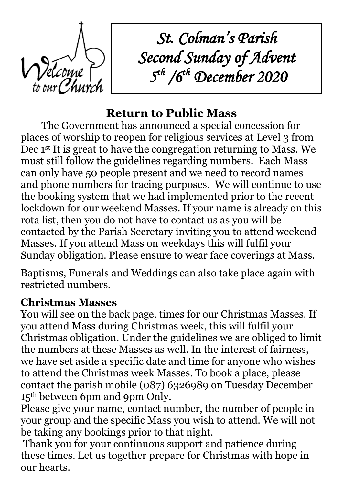

*St. Colman's Parish Second Sunday of Advent 5 th /6th December 2020*

# **Return to Public Mass**

The Government has announced a special concession for places of worship to reopen for religious services at Level 3 from Dec 1<sup>st</sup> It is great to have the congregation returning to Mass. We must still follow the guidelines regarding numbers. Each Mass can only have 50 people present and we need to record names and phone numbers for tracing purposes. We will continue to use the booking system that we had implemented prior to the recent lockdown for our weekend Masses. If your name is already on this rota list, then you do not have to contact us as you will be contacted by the Parish Secretary inviting you to attend weekend Masses. If you attend Mass on weekdays this will fulfil your Sunday obligation. Please ensure to wear face coverings at Mass.

Baptisms, Funerals and Weddings can also take place again with restricted numbers.

### **Christmas Masses**

You will see on the back page, times for our Christmas Masses. If you attend Mass during Christmas week, this will fulfil your Christmas obligation. Under the guidelines we are obliged to limit the numbers at these Masses as well. In the interest of fairness, we have set aside a specific date and time for anyone who wishes to attend the Christmas week Masses. To book a place, please contact the parish mobile (087) 6326989 on Tuesday December 15<sup>th</sup> between 6pm and 9pm Only.

Please give your name, contact number, the number of people in your group and the specific Mass you wish to attend. We will not be taking any bookings prior to that night.

Thank you for your continuous support and patience during these times. Let us together prepare for Christmas with hope in our hearts.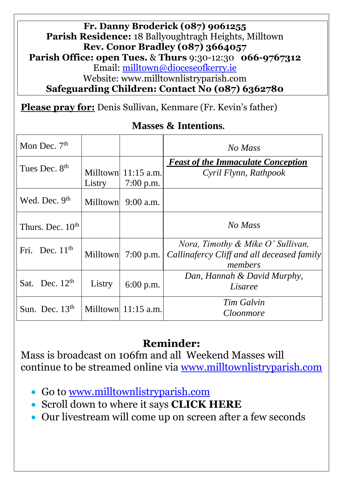#### **Fr. Danny Broderick (087) 9061255 Parish Residence:** 18 Ballyoughtragh Heights, Milltown **Rev. Conor Bradley (087) 3664057 Parish Office: open Tues.** & **Thurs** 9:30-12:30 **066-9767312** Email: [milltown@dioceseofkerry.ie](mailto:milltown@dioceseofkerry.ie) Website: www.milltownlistryparish.com **Safeguarding Children: Contact No (087) 6362780**

**Please pray for:** Denis Sullivan, Kenmare (Fr. Kevin's father)

#### **Masses & Intentions.**

| Mon Dec. $7th$               |        |                                      | No Mass                                                                                    |
|------------------------------|--------|--------------------------------------|--------------------------------------------------------------------------------------------|
| Tues Dec. 8 <sup>th</sup>    | Listry | Milltown $11:15$ a.m.<br>$7:00$ p.m. | <b>Feast of the Immaculate Conception</b><br>Cyril Flynn, Rathpook                         |
| Wed. Dec. $9th$              |        | Milltown $9:00$ a.m.                 |                                                                                            |
| Thurs. Dec. 10 <sup>th</sup> |        |                                      | No Mass                                                                                    |
| Fri. Dec. $11th$             |        | Milltown $7:00$ p.m.                 | Nora, Timothy & Mike O' Sullivan,<br>Callinafercy Cliff and all deceased family<br>members |
| Sat. Dec. $12th$             | Listry | 6:00 p.m.                            | Dan, Hannah & David Murphy,<br>Lisaree                                                     |
| Sun. Dec. $13th$             |        | Milltown $11:15$ a.m.                | Tim Galvin<br>Cloonmore                                                                    |

#### **Reminder:**

Mass is broadcast on 106fm and all Weekend Masses will continue to be streamed online via [www.milltownlistryparish.com](http://www.milltownlistryparish.com/)

- Go to [www.milltownlistryparish.com](http://www.milltownlistryparish.com/)
- Scroll down to where it says **CLICK HERE**
- Our livestream will come up on screen after a few seconds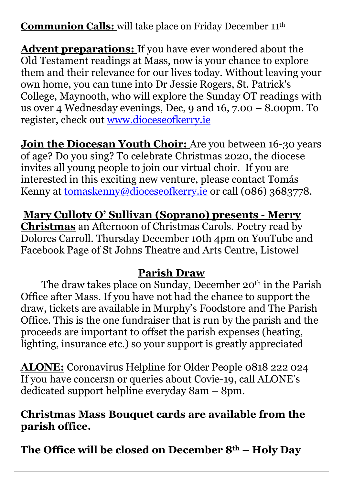**Communion Calls:** will take place on Friday December 11th

**Advent preparations:** If you have ever wondered about the Old Testament readings at Mass, now is your chance to explore them and their relevance for our lives today. Without leaving your own home, you can tune into Dr Jessie Rogers, St. Patrick's College, Maynooth, who will explore the Sunday OT readings with us over 4 Wednesday evenings, Dec, 9 and 16, 7.00 – 8.00pm. To register, check out [www.dioceseofkerry.ie](http://www.dioceseofkerry.ie/)

**Join the Diocesan Youth Choir:** Are you between 16-30 years of age? Do you sing? To celebrate Christmas 2020, the diocese invites all young people to join our virtual choir. If you are interested in this exciting new venture, please contact Tomás Kenny at [tomaskenny@dioceseofkerry.ie](mailto:tomaskenny@dioceseofkerry.ie) or call (086) 3683778.

**Mary Culloty O' Sullivan (Soprano) presents - Merry Christmas** an Afternoon of Christmas Carols. Poetry read by Dolores Carroll. Thursday [December 10th 4pm](x-apple-data-detectors://0/) on YouTube and Facebook Page of St Johns Theatre and Arts Centre, Listowel

### **Parish Draw**

The draw takes place on Sunday, December 20<sup>th</sup> in the Parish Office after Mass. If you have not had the chance to support the draw, tickets are available in Murphy's Foodstore and The Parish Office. This is the one fundraiser that is run by the parish and the proceeds are important to offset the parish expenses (heating, lighting, insurance etc.) so your support is greatly appreciated

**ALONE:** Coronavirus Helpline for Older People 0818 222 024 If you have concersn or queries about Covie-19, call ALONE's dedicated support helpline everyday 8am – 8pm.

#### **Christmas Mass Bouquet cards are available from the parish office.**

**The Office will be closed on December 8th – Holy Day**